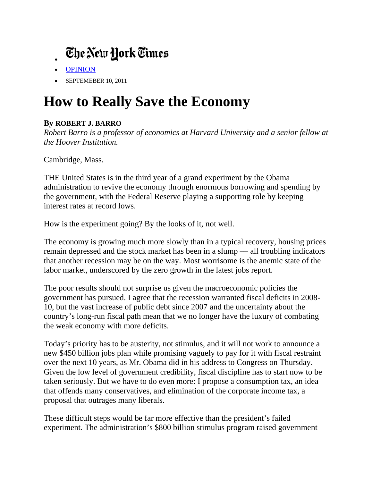## Ehe New York Times

- OPINION
- SEPTEMEBER 10, 2011

## **How to Really Save the Economy**

## By ROBERT J. BARRO

Robert Barro is a professor of economics at Harvard University and a senior fellow at *the Hoover Institution.* 

Cambridge, Mass.

THE United States is in the third year of a grand experiment by the Obama administration to revive the economy through enormous borrowing and spending by the government, with the Federal Reserve playing a supporting role by keeping interest rates at record lows.

How is the experiment going? By the looks of it, not well.

The economy is growing much more slowly than in a typical recovery, housing prices remain depressed and the stock market has been in a slump — all troubling indicators that another recession may be on the way. Most worrisome is the anemic state of the labor market, underscored by the zero growth in the latest jobs report.

The poor results should not surprise us given the macroeconomic policies the government has pursued. I agree that the recession warranted fiscal deficits in 2008-10, but the vast increase of public debt since 2007 and the uncertainty about the country's long-run fiscal path mean that we no longer have the luxury of combating the weak economy with more deficits.

Today's priority has to be austerity, not stimulus, and it will not work to announce a new \$450 billion jobs plan while promising vaguely to pay for it with fiscal restraint over the next 10 years, as Mr. Obama did in his address to Congress on Thursday. Given the low level of government credibility, fiscal discipline has to start now to be taken seriously. But we have to do even more: I propose a consumption tax, an idea that offends many conservatives, and elimination of the corporate income tax, a proposal that outrages many liberals.

These difficult steps would be far more effective than the president's failed experiment. The administration's \$800 billion stimulus program raised government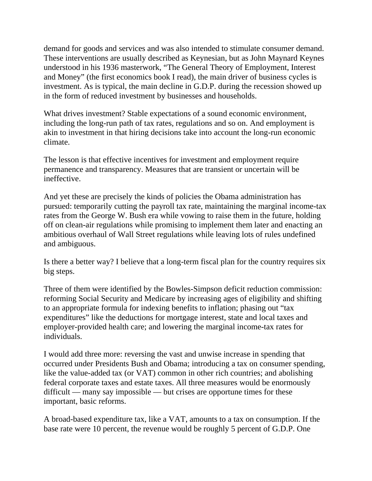demand for goods and services and was also intended to stimulate consumer demand. These interventions are usually described as Keynesian, but as John Maynard Keynes understood in his 1936 masterwork, "The General Theory of Employment, Interest and Money" (the first economics book I read), the main driver of business cycles is investment. As is typical, the main decline in G.D.P. during the recession showed up in the form of reduced investment by businesses and households.

What drives investment? Stable expectations of a sound economic environment, including the long-run path of tax rates, regulations and so on. And employment is akin to investment in that hiring decisions take into account the long-run economic climate.

The lesson is that effective incentives for investment and employment require permanence and transparency. Measures that are transient or uncertain will be ineffective.

And yet these are precisely the kinds of policies the Obama administration has pursued: temporarily cutting the payroll tax rate, maintaining the marginal income-tax rates from the George W. Bush era while vowing to raise them in the future, holding off on clean-air regulations while promising to implement them later and enacting an ambitious overhaul of Wall Street regulations while leaving lots of rules undefined and ambiguous.

Is there a better way? I believe that a long-term fiscal plan for the country requires six big steps.

Three of them were identified by the Bowles-Simpson deficit reduction commission: reforming Social Security and Medicare by increasing ages of eligibility and shifting to an appropriate formula for indexing benefits to inflation; phasing out "tax expenditures" like the deductions for mortgage interest, state and local taxes and employer-provided health care; and lowering the marginal income-tax rates for individuals.

I would add three more: reversing the vast and unwise increase in spending that occurred under Presidents Bush and Obama; introducing a tax on consumer spending, like the value-added tax (or VAT) common in other rich countries; and abolishing federal corporate taxes and estate taxes. All three measures would be enormously difficult — many say impossible — but crises are opportune times for these important, basic reforms.

A broad-based expenditure tax, like a VAT, amounts to a tax on consumption. If the base rate were 10 percent, the revenue would be roughly 5 percent of G.D.P. One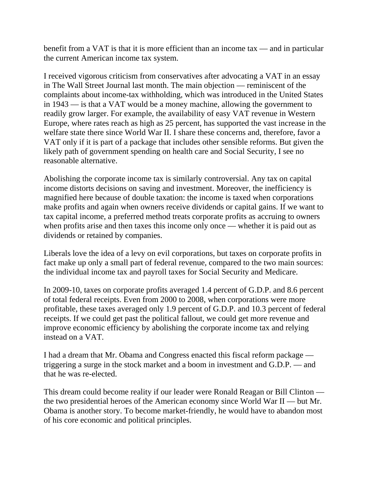benefit from a VAT is that it is more efficient than an income tax — and in particular the current American income tax system.

I received vigorous criticism from conservatives after advocating a VAT in an essay in The Wall Street Journal last month. The main objection — reminiscent of the complaints about income-tax withholding, which was introduced in the United States in 1943 — is that a VAT would be a money machine, allowing the government to readily grow larger. For example, the availability of easy VAT revenue in Western Europe, where rates reach as high as 25 percent, has supported the vast increase in the welfare state there since World War II. I share these concerns and, therefore, favor a VAT only if it is part of a package that includes other sensible reforms. But given the likely path of government spending on health care and Social Security, I see no reasonable alternative.

Abolishing the corporate income tax is similarly controversial. Any tax on capital income distorts decisions on saving and investment. Moreover, the inefficiency is magnified here because of double taxation: the income is taxed when corporations make profits and again when owners receive dividends or capital gains. If we want to tax capital income, a preferred method treats corporate profits as accruing to owners when profits arise and then taxes this income only once — whether it is paid out as dividends or retained by companies.

Liberals love the idea of a levy on evil corporations, but taxes on corporate profits in fact make up only a small part of federal revenue, compared to the two main sources: the individual income tax and payroll taxes for Social Security and Medicare.

In 2009-10, taxes on corporate profits averaged 1.4 percent of G.D.P. and 8.6 percent of total federal receipts. Even from 2000 to 2008, when corporations were more profitable, these taxes averaged only 1.9 percent of G.D.P. and 10.3 percent of federal receipts. If we could get past the political fallout, we could get more revenue and improve economic efficiency by abolishing the corporate income tax and relying instead on a VAT.

I had a dream that Mr. Obama and Congress enacted this fiscal reform package triggering a surge in the stock market and a boom in investment and G.D.P. — and that he was re-elected.

This dream could become reality if our leader were Ronald Reagan or Bill Clinton the two presidential heroes of the American economy since World War II — but Mr. Obama is another story. To become market-friendly, he would have to abandon most of his core economic and political principles.